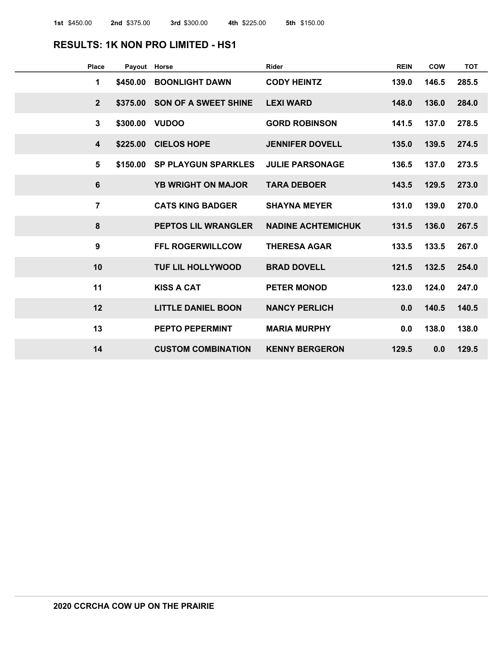### **RESULTS: 1K NON PRO LIMITED - HS1**

| <b>Place</b>            | Payout Horse |                             | <b>Rider</b>              | <b>REIN</b> | <b>COW</b> | <b>TOT</b> |
|-------------------------|--------------|-----------------------------|---------------------------|-------------|------------|------------|
| 1                       | \$450.00     | <b>BOONLIGHT DAWN</b>       | <b>CODY HEINTZ</b>        | 139.0       | 146.5      | 285.5      |
| $\overline{2}$          | \$375.00     | <b>SON OF A SWEET SHINE</b> | <b>LEXI WARD</b>          | 148.0       | 136.0      | 284.0      |
| $\mathbf{3}$            | \$300.00     | <b>VUDOO</b>                | <b>GORD ROBINSON</b>      | 141.5       | 137.0      | 278.5      |
| $\overline{\mathbf{4}}$ | \$225.00     | <b>CIELOS HOPE</b>          | <b>JENNIFER DOVELL</b>    | 135.0       | 139.5      | 274.5      |
| 5                       | \$150.00     | <b>SP PLAYGUN SPARKLES</b>  | <b>JULIE PARSONAGE</b>    | 136.5       | 137.0      | 273.5      |
| 6                       |              | <b>YB WRIGHT ON MAJOR</b>   | <b>TARA DEBOER</b>        | 143.5       | 129.5      | 273.0      |
| $\overline{7}$          |              | <b>CATS KING BADGER</b>     | <b>SHAYNA MEYER</b>       | 131.0       | 139.0      | 270.0      |
| 8                       |              | <b>PEPTOS LIL WRANGLER</b>  | <b>NADINE ACHTEMICHUK</b> | 131.5       | 136.0      | 267.5      |
| 9                       |              | <b>FFL ROGERWILLCOW</b>     | <b>THERESA AGAR</b>       | 133.5       | 133.5      | 267.0      |
| 10                      |              | <b>TUF LIL HOLLYWOOD</b>    | <b>BRAD DOVELL</b>        | 121.5       | 132.5      | 254.0      |
| 11                      |              | <b>KISS A CAT</b>           | <b>PETER MONOD</b>        | 123.0       | 124.0      | 247.0      |
| 12                      |              | <b>LITTLE DANIEL BOON</b>   | <b>NANCY PERLICH</b>      | 0.0         | 140.5      | 140.5      |
| 13                      |              | <b>PEPTO PEPERMINT</b>      | <b>MARIA MURPHY</b>       | 0.0         | 138.0      | 138.0      |
| 14                      |              | <b>CUSTOM COMBINATION</b>   | <b>KENNY BERGERON</b>     | 129.5       | 0.0        | 129.5      |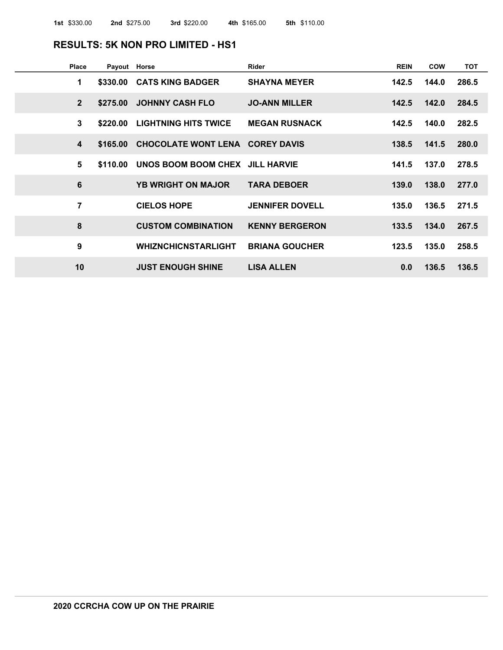#### **RESULTS: 5K NON PRO LIMITED - HS1**

| <b>Place</b>            | Payout Horse |                                          | Rider                  | <b>REIN</b> | COW         | <b>TOT</b> |
|-------------------------|--------------|------------------------------------------|------------------------|-------------|-------------|------------|
| 1                       |              | \$330.00 CATS KING BADGER                | <b>SHAYNA MEYER</b>    | 142.5       | 144.0       | 286.5      |
| $2^{\circ}$             |              | \$275.00 JOHNNY CASH FLO                 | <b>JO-ANN MILLER</b>   | 142.5       | 142.0       | 284.5      |
| 3                       |              | \$220.00 LIGHTNING HITS TWICE            | <b>MEGAN RUSNACK</b>   | 142.5       | 140.0       | 282.5      |
| $\overline{\mathbf{4}}$ |              | \$165.00 CHOCOLATE WONT LENA COREY DAVIS |                        |             | 138.5 141.5 | 280.0      |
| 5                       |              | \$110.00 UNOS BOOM BOOM CHEX JILL HARVIE |                        | 141.5       | 137.0       | 278.5      |
| $6\phantom{1}$          |              | <b>YB WRIGHT ON MAJOR</b>                | <b>TARA DEBOER</b>     | 139.0       | 138.0       | 277.0      |
| $\overline{7}$          |              | <b>CIELOS HOPE</b>                       | <b>JENNIFER DOVELL</b> | 135.0       | 136.5       | 271.5      |
| 8                       |              | <b>CUSTOM COMBINATION</b>                | <b>KENNY BERGERON</b>  |             | 133.5 134.0 | 267.5      |
| 9                       |              | WHIZNCHICNSTARLIGHT                      | <b>BRIANA GOUCHER</b>  | 123.5       | 135.0       | 258.5      |
| 10                      |              | <b>JUST ENOUGH SHINE</b>                 | <b>LISA ALLEN</b>      | 0.0         | 136.5       | 136.5      |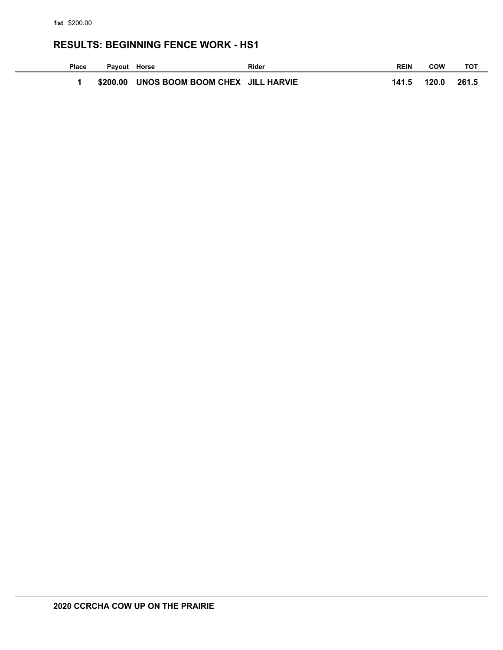### **RESULTS: BEGINNING FENCE WORK - HS1**

| <b>Place</b> | Payout Horse |                                          | Rider | <b>REIN</b> | COW   | тот   |
|--------------|--------------|------------------------------------------|-------|-------------|-------|-------|
|              |              | \$200.00 UNOS BOOM BOOM CHEX JILL HARVIE |       | 141.5       | 120.0 | 261.5 |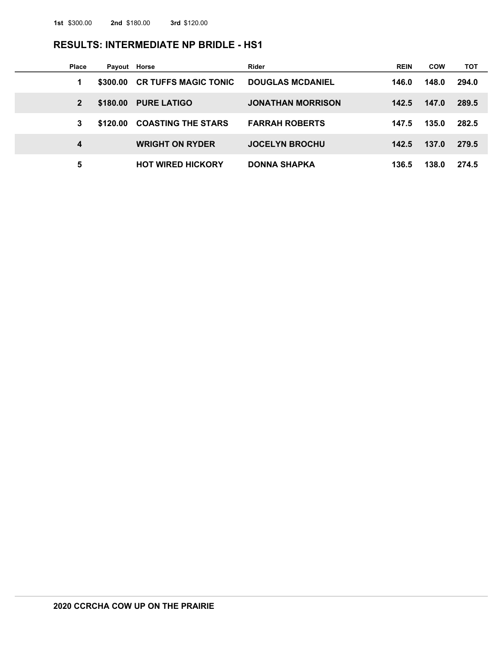#### **RESULTS: INTERMEDIATE NP BRIDLE - HS1**

| Place | Payout Horse |                             | Rider                    | <b>REIN</b> | <b>COW</b> | тот   |
|-------|--------------|-----------------------------|--------------------------|-------------|------------|-------|
| 1     | \$300,00     | <b>CR TUFFS MAGIC TONIC</b> | <b>DOUGLAS MCDANIEL</b>  | 146.0       | 148.0      | 294.0 |
| 2     | \$180,00     | <b>PURE LATIGO</b>          | <b>JONATHAN MORRISON</b> | 142.5       | 147.0      | 289.5 |
| 3     | \$120.00     | <b>COASTING THE STARS</b>   | <b>FARRAH ROBERTS</b>    | 147.5       | 135.0      | 282.5 |
| 4     |              | <b>WRIGHT ON RYDER</b>      | <b>JOCELYN BROCHU</b>    | 142.5       | 137.0      | 279.5 |
| 5     |              | <b>HOT WIRED HICKORY</b>    | <b>DONNA SHAPKA</b>      | 136.5       | 138.0      | 274.5 |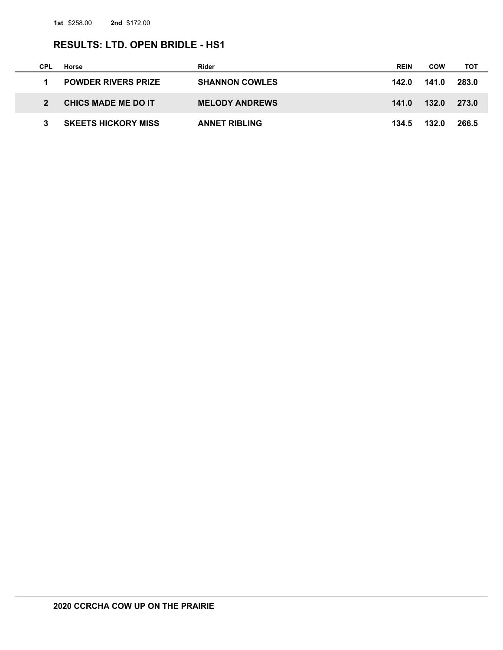$\overline{\phantom{a}}$ 

### **RESULTS: LTD. OPEN BRIDLE - HS1**

| CPL | Horse                      | Rider                 | <b>REIN</b> | <b>COW</b> | тот   |
|-----|----------------------------|-----------------------|-------------|------------|-------|
|     | <b>POWDER RIVERS PRIZE</b> | <b>SHANNON COWLES</b> | 142.0       | 141.0      | 283.0 |
|     | <b>CHICS MADE ME DO IT</b> | <b>MELODY ANDREWS</b> | 141.0       | 132.0      | 273.0 |
|     | <b>SKEETS HICKORY MISS</b> | <b>ANNET RIBLING</b>  | 134.5       | 132.0      | 266.5 |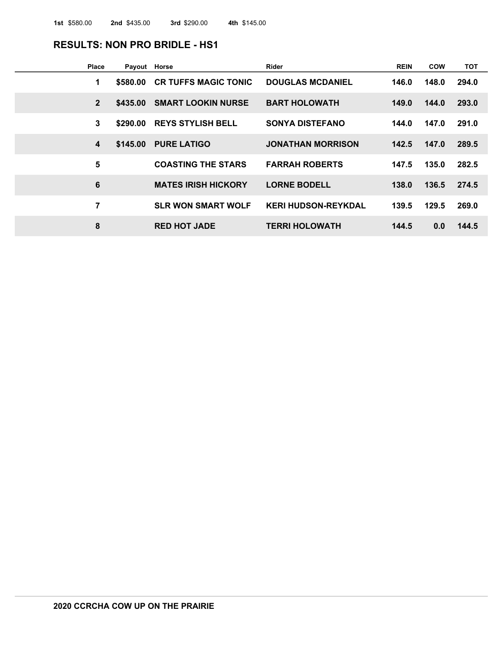### **RESULTS: NON PRO BRIDLE - HS1**

| Place           | Payout Horse |                             | Rider                      | <b>REIN</b> | <b>COW</b> | тот   |
|-----------------|--------------|-----------------------------|----------------------------|-------------|------------|-------|
| 1               | \$580.00     | <b>CR TUFFS MAGIC TONIC</b> | <b>DOUGLAS MCDANIEL</b>    | 146.0       | 148.0      | 294.0 |
| $\overline{2}$  | \$435.00     | <b>SMART LOOKIN NURSE</b>   | <b>BART HOLOWATH</b>       | 149.0       | 144.0      | 293.0 |
| 3               | \$290.00     | <b>REYS STYLISH BELL</b>    | <b>SONYA DISTEFANO</b>     | 144.0       | 147.0      | 291.0 |
| 4               | \$145.00     | <b>PURE LATIGO</b>          | <b>JONATHAN MORRISON</b>   | 142.5       | 147.0      | 289.5 |
| 5               |              | <b>COASTING THE STARS</b>   | <b>FARRAH ROBERTS</b>      | 147.5       | 135.0      | 282.5 |
| $6\phantom{1}6$ |              | <b>MATES IRISH HICKORY</b>  | <b>LORNE BODELL</b>        | 138.0       | 136.5      | 274.5 |
| 7               |              | <b>SLR WON SMART WOLF</b>   | <b>KERI HUDSON-REYKDAL</b> | 139.5       | 129.5      | 269.0 |
| 8               |              | <b>RED HOT JADE</b>         | <b>TERRI HOLOWATH</b>      | 144.5       | 0.0        | 144.5 |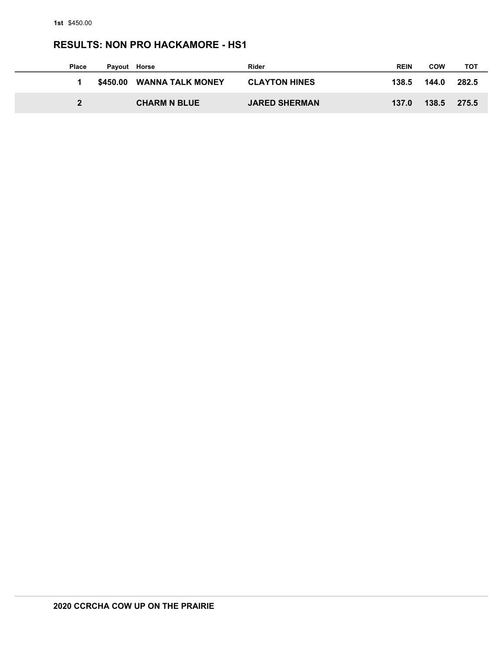# **RESULTS: NON PRO HACKAMORE - HS1**

| <b>Place</b> | Pavout | Horse                     | Rider                | <b>REIN</b> | <b>COW</b> | тот   |
|--------------|--------|---------------------------|----------------------|-------------|------------|-------|
|              |        | \$450.00 WANNA TALK MONEY | <b>CLAYTON HINES</b> | 138.5       | 144.0      | 282.5 |
|              |        | <b>CHARM N BLUE</b>       | <b>JARED SHERMAN</b> | 137.0       | 138.5      | 275.5 |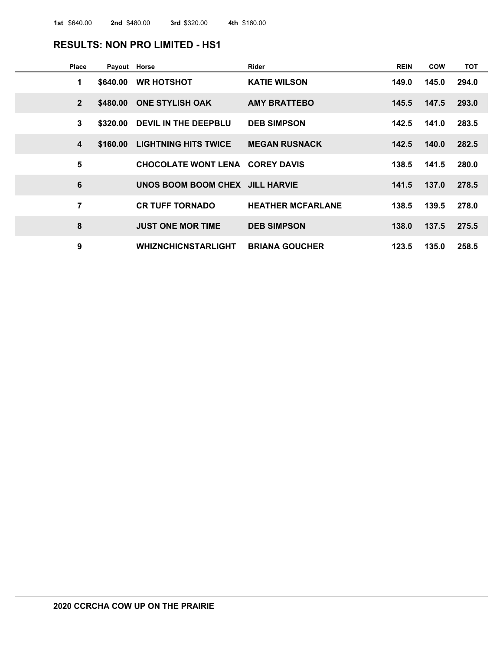### **RESULTS: NON PRO LIMITED - HS1**

| <b>Place</b>     | Payout Horse |                                        | <b>Rider</b>             | <b>REIN</b> | <b>COW</b>  | <b>TOT</b> |
|------------------|--------------|----------------------------------------|--------------------------|-------------|-------------|------------|
| 1                | \$640.00     | <b>WR HOTSHOT</b>                      | <b>KATIE WILSON</b>      | 149.0       | 145.0       | 294.0      |
| $\overline{2}$   |              | \$480.00 ONE STYLISH OAK               | <b>AMY BRATTEBO</b>      | 145.5       | 147.5       | 293.0      |
| 3                | \$320.00     | DEVIL IN THE DEEPBLU                   | <b>DEB SIMPSON</b>       | 142.5       | 141.0       | 283.5      |
| $\boldsymbol{4}$ | \$160,00     | <b>LIGHTNING HITS TWICE</b>            | <b>MEGAN RUSNACK</b>     |             | 142.5 140.0 | 282.5      |
| 5                |              | <b>CHOCOLATE WONT LENA COREY DAVIS</b> |                          | 138.5       | 141.5       | 280.0      |
| $6\phantom{1}6$  |              | UNOS BOOM BOOM CHEX JILL HARVIE        |                          |             | 141.5 137.0 | 278.5      |
| 7                |              | <b>CR TUFF TORNADO</b>                 | <b>HEATHER MCFARLANE</b> | 138.5       | 139.5       | 278.0      |
| 8                |              | <b>JUST ONE MOR TIME</b>               | <b>DEB SIMPSON</b>       | 138.0       | 137.5       | 275.5      |
| 9                |              | <b>WHIZNCHICNSTARLIGHT</b>             | <b>BRIANA GOUCHER</b>    | 123.5       | 135.0       | 258.5      |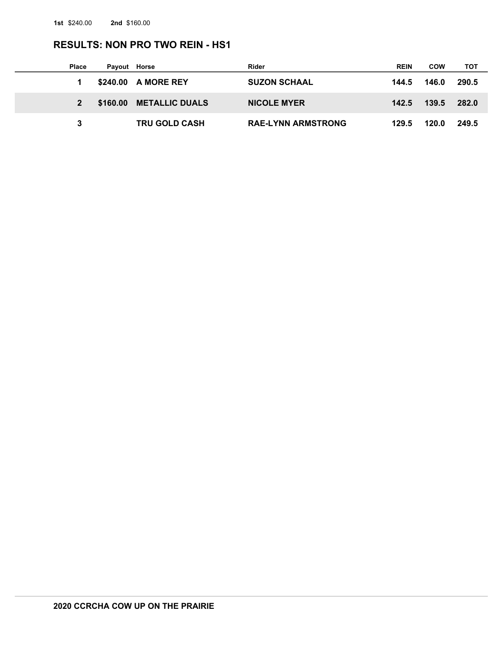# **RESULTS: NON PRO TWO REIN - HS1**

| <b>Place</b> | Payout Horse |                         | Rider                     | <b>REIN</b> | COW   | тот   |
|--------------|--------------|-------------------------|---------------------------|-------------|-------|-------|
|              |              | \$240.00 A MORE REY     | <b>SUZON SCHAAL</b>       | 144.5       | 146.0 | 290.5 |
|              |              | \$160.00 METALLIC DUALS | <b>NICOLE MYER</b>        | 142.5       | 139.5 | 282.0 |
|              |              | <b>TRU GOLD CASH</b>    | <b>RAE-LYNN ARMSTRONG</b> | 129.5       | 120.0 | 249.5 |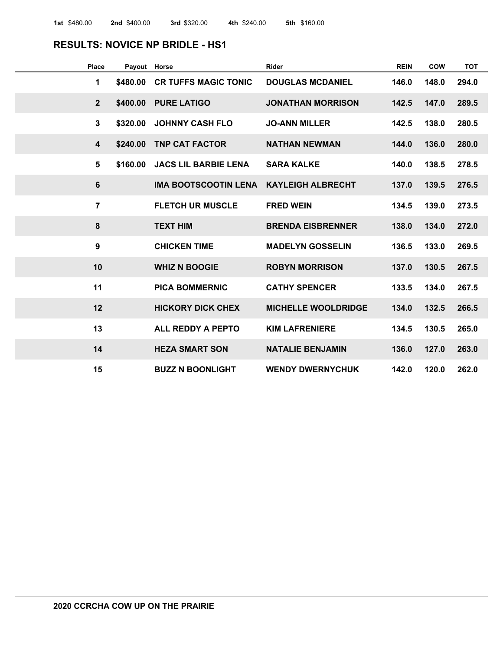#### **RESULTS: NOVICE NP BRIDLE - HS1**

| <b>Place</b>            | Payout Horse |                             | <b>Rider</b>               | <b>REIN</b> | <b>COW</b> | <b>TOT</b> |
|-------------------------|--------------|-----------------------------|----------------------------|-------------|------------|------------|
| 1                       | \$480.00     | <b>CR TUFFS MAGIC TONIC</b> | <b>DOUGLAS MCDANIEL</b>    | 146.0       | 148.0      | 294.0      |
| $\overline{2}$          | \$400.00     | <b>PURE LATIGO</b>          | <b>JONATHAN MORRISON</b>   | 142.5       | 147.0      | 289.5      |
| $\overline{3}$          | \$320.00     | <b>JOHNNY CASH FLO</b>      | <b>JO-ANN MILLER</b>       | 142.5       | 138.0      | 280.5      |
| $\overline{\mathbf{4}}$ | \$240.00     | <b>TNP CAT FACTOR</b>       | <b>NATHAN NEWMAN</b>       | 144.0       | 136.0      | 280.0      |
| 5                       | \$160.00     | <b>JACS LIL BARBIE LENA</b> | <b>SARA KALKE</b>          | 140.0       | 138.5      | 278.5      |
| 6                       |              | <b>IMA BOOTSCOOTIN LENA</b> | <b>KAYLEIGH ALBRECHT</b>   | 137.0       | 139.5      | 276.5      |
| $\overline{7}$          |              | <b>FLETCH UR MUSCLE</b>     | <b>FRED WEIN</b>           | 134.5       | 139.0      | 273.5      |
| 8                       |              | <b>TEXT HIM</b>             | <b>BRENDA EISBRENNER</b>   | 138.0       | 134.0      | 272.0      |
| 9                       |              | <b>CHICKEN TIME</b>         | <b>MADELYN GOSSELIN</b>    | 136.5       | 133.0      | 269.5      |
| 10                      |              | <b>WHIZ N BOOGIE</b>        | <b>ROBYN MORRISON</b>      | 137.0       | 130.5      | 267.5      |
| 11                      |              | <b>PICA BOMMERNIC</b>       | <b>CATHY SPENCER</b>       | 133.5       | 134.0      | 267.5      |
| 12                      |              | <b>HICKORY DICK CHEX</b>    | <b>MICHELLE WOOLDRIDGE</b> | 134.0       | 132.5      | 266.5      |
| 13                      |              | <b>ALL REDDY A PEPTO</b>    | <b>KIM LAFRENIERE</b>      | 134.5       | 130.5      | 265.0      |
| 14                      |              | <b>HEZA SMART SON</b>       | <b>NATALIE BENJAMIN</b>    | 136.0       | 127.0      | 263.0      |
| 15                      |              | <b>BUZZ N BOONLIGHT</b>     | <b>WENDY DWERNYCHUK</b>    | 142.0       | 120.0      | 262.0      |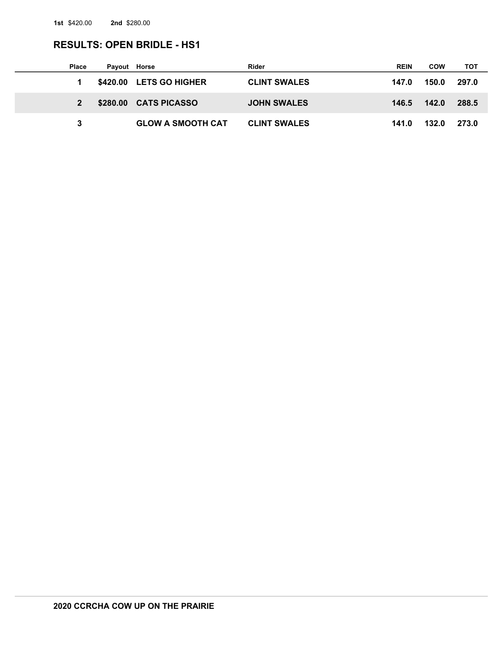### **RESULTS: OPEN BRIDLE - HS1**

| <b>Place</b> | Payout Horse |                          | Rider               | <b>REIN</b> | COW   | тот   |
|--------------|--------------|--------------------------|---------------------|-------------|-------|-------|
|              |              | \$420.00 LETS GO HIGHER  | <b>CLINT SWALES</b> | 147.0       | 150.0 | 297.0 |
|              |              | \$280.00 CATS PICASSO    | <b>JOHN SWALES</b>  | 146.5       | 142.0 | 288.5 |
| 3            |              | <b>GLOW A SMOOTH CAT</b> | <b>CLINT SWALES</b> | 141.0       | 132.0 | 273.0 |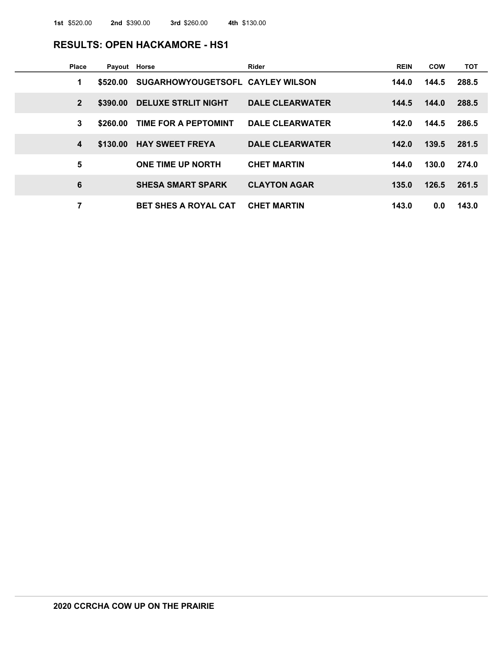#### **RESULTS: OPEN HACKAMORE - HS1**

| <b>Place</b>   | Payout Horse |                                  | Rider                  | <b>REIN</b> | <b>COW</b> | <b>TOT</b> |
|----------------|--------------|----------------------------------|------------------------|-------------|------------|------------|
| 1              | \$520.00     | SUGARHOWYOUGETSOFL CAYLEY WILSON |                        | 144.0       | 144.5      | 288.5      |
| $\overline{2}$ | \$390.00     | <b>DELUXE STRLIT NIGHT</b>       | <b>DALE CLEARWATER</b> | 144.5       | 144.0      | 288.5      |
| 3              | \$260.00     | TIME FOR A PEPTOMINT             | <b>DALE CLEARWATER</b> | 142.0       | 144.5      | 286.5      |
| 4              | \$130.00     | <b>HAY SWEET FREYA</b>           | <b>DALE CLEARWATER</b> | 142.0       | 139.5      | 281.5      |
| $5\phantom{1}$ |              | <b>ONE TIME UP NORTH</b>         | <b>CHET MARTIN</b>     | 144.0       | 130.0      | 274.0      |
| 6              |              | <b>SHESA SMART SPARK</b>         | <b>CLAYTON AGAR</b>    | 135.0       | 126.5      | 261.5      |
| 7              |              | <b>BET SHES A ROYAL CAT</b>      | <b>CHET MARTIN</b>     | 143.0       | 0.0        | 143.0      |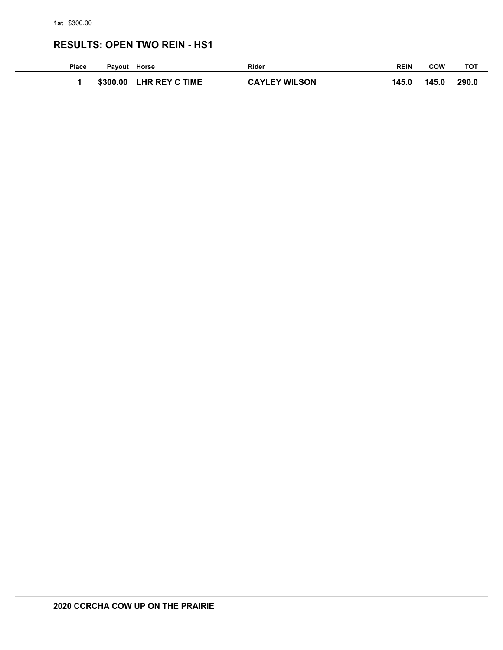# **RESULTS: OPEN TWO REIN - HS1**

| Place | Payout Horse |                       | <b>Rider</b>         | <b>REIN</b> | COW   | тот   |
|-------|--------------|-----------------------|----------------------|-------------|-------|-------|
|       | \$300.00     | <b>LHR REY C TIME</b> | <b>CAYLEY WILSON</b> | 145.0       | 145.0 | 290.0 |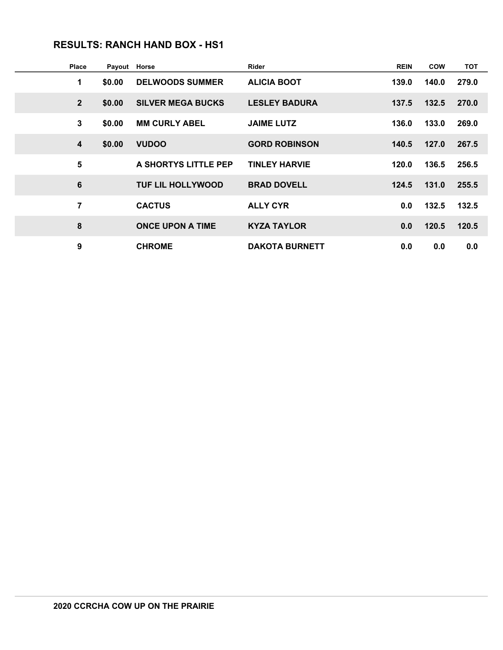# **RESULTS: RANCH HAND BOX - HS1**

| <b>Place</b>   | Payout | Horse                    | <b>Rider</b>          | <b>REIN</b> | <b>COW</b> | <b>TOT</b> |
|----------------|--------|--------------------------|-----------------------|-------------|------------|------------|
| 1              | \$0.00 | <b>DELWOODS SUMMER</b>   | <b>ALICIA BOOT</b>    | 139.0       | 140.0      | 279.0      |
| $\mathbf{2}$   | \$0.00 | <b>SILVER MEGA BUCKS</b> | <b>LESLEY BADURA</b>  | 137.5       | 132.5      | 270.0      |
| $\mathbf{3}$   | \$0.00 | <b>MM CURLY ABEL</b>     | <b>JAIME LUTZ</b>     | 136.0       | 133.0      | 269.0      |
| 4              | \$0.00 | <b>VUDOO</b>             | <b>GORD ROBINSON</b>  | 140.5       | 127.0      | 267.5      |
| 5              |        | A SHORTYS LITTLE PEP     | <b>TINLEY HARVIE</b>  | 120.0       | 136.5      | 256.5      |
| 6              |        | <b>TUF LIL HOLLYWOOD</b> | <b>BRAD DOVELL</b>    | 124.5       | 131.0      | 255.5      |
| $\overline{7}$ |        | <b>CACTUS</b>            | <b>ALLY CYR</b>       | 0.0         | 132.5      | 132.5      |
| 8              |        | <b>ONCE UPON A TIME</b>  | <b>KYZA TAYLOR</b>    | 0.0         | 120.5      | 120.5      |
| 9              |        | <b>CHROME</b>            | <b>DAKOTA BURNETT</b> | 0.0         | 0.0        | 0.0        |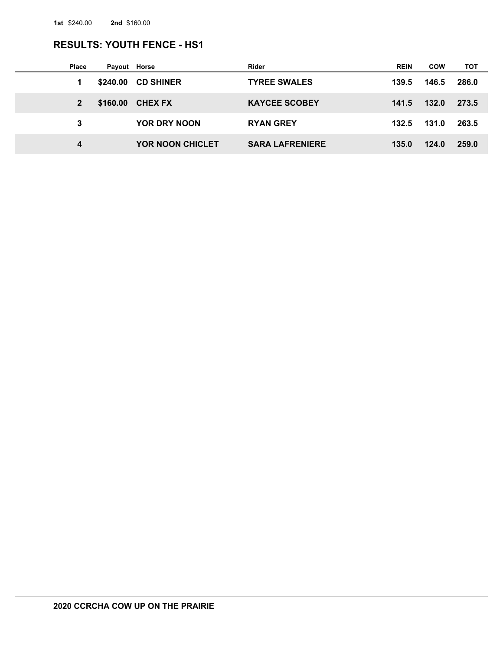# **RESULTS: YOUTH FENCE - HS1**

| Place        | Payout Horse |                         | <b>Rider</b>           | <b>REIN</b> | <b>COW</b> | тот   |
|--------------|--------------|-------------------------|------------------------|-------------|------------|-------|
|              | \$240.00     | <b>CD SHINER</b>        | <b>TYREE SWALES</b>    | 139.5       | 146.5      | 286.0 |
| $\mathbf{2}$ | \$160.00     | <b>CHEX FX</b>          | <b>KAYCEE SCOBEY</b>   | 141.5       | 132.0      | 273.5 |
| 3            |              | YOR DRY NOON            | <b>RYAN GREY</b>       | 132.5       | 131.0      | 263.5 |
| 4            |              | <b>YOR NOON CHICLET</b> | <b>SARA LAFRENIERE</b> | 135.0       | 124.0      | 259.0 |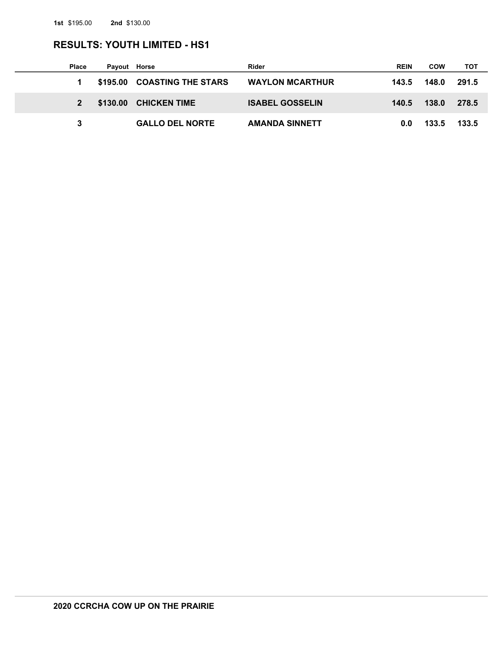# **RESULTS: YOUTH LIMITED - HS1**

| <b>Place</b> | Payout Horse |                             | Rider                  | <b>REIN</b> | <b>COW</b> | тот   |
|--------------|--------------|-----------------------------|------------------------|-------------|------------|-------|
| 1            |              | \$195.00 COASTING THE STARS | <b>WAYLON MCARTHUR</b> | 143.5       | 148.0      | 291.5 |
| $2^{\circ}$  |              | \$130.00 CHICKEN TIME       | <b>ISABEL GOSSELIN</b> | 140.5       | 138.0      | 278.5 |
|              |              | <b>GALLO DEL NORTE</b>      | <b>AMANDA SINNETT</b>  | 0.0         | 133.5      | 133.5 |